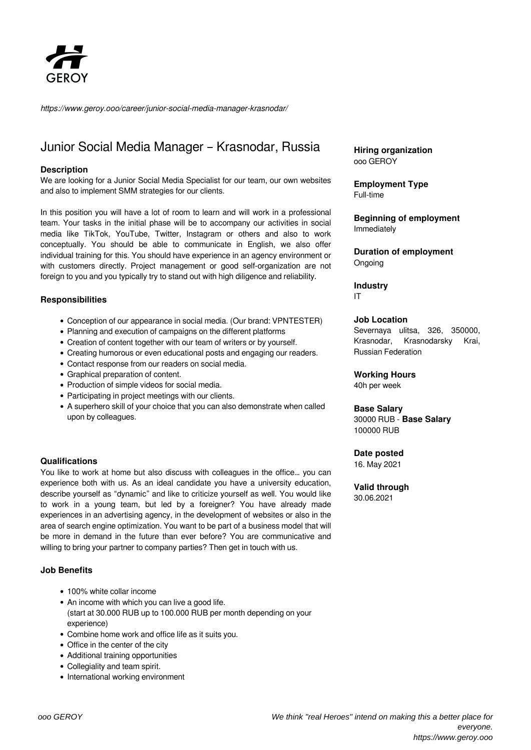

*https://www.geroy.ooo/career/junior-social-media-manager-krasnodar/*

# Junior Social Media Manager – Krasnodar, Russia

#### **Description**

We are looking for a Junior Social Media Specialist for our team, our own websites and also to implement SMM strategies for our clients.

In this position you will have a lot of room to learn and will work in a professional team. Your tasks in the initial phase will be to accompany our activities in social media like TikTok, YouTube, Twitter, Instagram or others and also to work conceptually. You should be able to communicate in English, we also offer individual training for this. You should have experience in an agency environment or with customers directly. Project management or good self-organization are not foreign to you and you typically try to stand out with high diligence and reliability.

## **Responsibilities**

- Conception of our appearance in social media. (Our brand: VPNTESTER)
- Planning and execution of campaigns on the different platforms
- Creation of content together with our team of writers or by yourself.
- Creating humorous or even educational posts and engaging our readers.
- Contact response from our readers on social media.
- Graphical preparation of content.
- Production of simple videos for social media.
- Participating in project meetings with our clients.
- A superhero skill of your choice that you can also demonstrate when called upon by colleagues.

#### **Qualifications**

You like to work at home but also discuss with colleagues in the office… you can experience both with us. As an ideal candidate you have a university education, describe yourself as "dynamic" and like to criticize yourself as well. You would like to work in a young team, but led by a foreigner? You have already made experiences in an advertising agency, in the development of websites or also in the area of search engine optimization. You want to be part of a business model that will be more in demand in the future than ever before? You are communicative and willing to bring your partner to company parties? Then get in touch with us.

## **Job Benefits**

- 100% white collar income
- An income with which you can live a good life. (start at 30.000 RUB up to 100.000 RUB per month depending on your experience)
- Combine home work and office life as it suits you.
- Office in the center of the city
- Additional training opportunities
- Collegiality and team spirit.
- International working environment

**Hiring organization** ooo GEROY

**Employment Type** Full-time

**Beginning of employment** Immediately

**Duration of employment** Ongoing

**Industry** IT

#### **Job Location**

Severnaya ulitsa, 326, 350000, Krasnodar, Krasnodarsky Krai, Russian Federation

**Working Hours**

40h per week

#### **Base Salary**

30000 RUB - **Base Salary** 100000 RUB

#### **Date posted**

16. May 2021

**Valid through** 30.06.2021